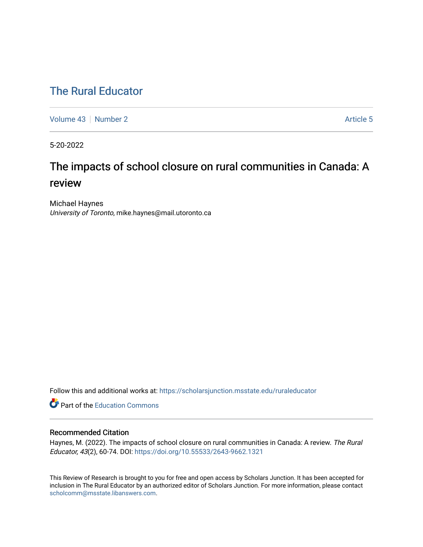# [The Rural Educator](https://scholarsjunction.msstate.edu/ruraleducator)

[Volume 43](https://scholarsjunction.msstate.edu/ruraleducator/vol43) [Number 2](https://scholarsjunction.msstate.edu/ruraleducator/vol43/iss2) Article 5

5-20-2022

# The impacts of school closure on rural communities in Canada: A review

Michael Haynes University of Toronto, mike.haynes@mail.utoronto.ca

Follow this and additional works at: [https://scholarsjunction.msstate.edu/ruraleducator](https://scholarsjunction.msstate.edu/ruraleducator?utm_source=scholarsjunction.msstate.edu%2Fruraleducator%2Fvol43%2Fiss2%2F5&utm_medium=PDF&utm_campaign=PDFCoverPages)

**C** Part of the [Education Commons](https://network.bepress.com/hgg/discipline/784?utm_source=scholarsjunction.msstate.edu%2Fruraleducator%2Fvol43%2Fiss2%2F5&utm_medium=PDF&utm_campaign=PDFCoverPages)

# Recommended Citation

Haynes, M. (2022). The impacts of school closure on rural communities in Canada: A review. The Rural Educator, 43(2), 60-74. DOI: <https://doi.org/10.55533/2643-9662.1321>

This Review of Research is brought to you for free and open access by Scholars Junction. It has been accepted for inclusion in The Rural Educator by an authorized editor of Scholars Junction. For more information, please contact [scholcomm@msstate.libanswers.com.](mailto:scholcomm@msstate.libanswers.com)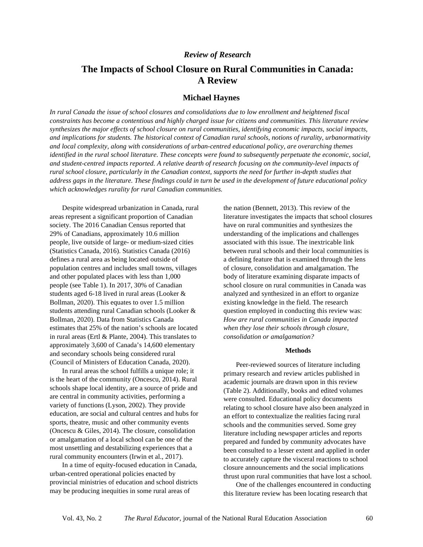# *Review of Research*

# **The Impacts of School Closure on Rural Communities in Canada: A Review**

# **Michael Haynes**

*In rural Canada the issue of school closures and consolidations due to low enrollment and heightened fiscal constraints has become a contentious and highly charged issue for citizens and communities. This literature review synthesizes the major effects of school closure on rural communities, identifying economic impacts, social impacts, and implications for students. The historical context of Canadian rural schools, notions of rurality, urbanormativity and local complexity, along with considerations of urban-centred educational policy, are overarching themes identified in the rural school literature. These concepts were found to subsequently perpetuate the economic, social, and student-centred impacts reported. A relative dearth of research focusing on the community-level impacts of rural school closure, particularly in the Canadian context, supports the need for further in-depth studies that address gaps in the literature. These findings could in turn be used in the development of future educational policy which acknowledges rurality for rural Canadian communities.*

Despite widespread urbanization in Canada, rural areas represent a significant proportion of Canadian society. The 2016 Canadian Census reported that 29% of Canadians, approximately 10.6 million people, live outside of large- or medium-sized cities (Statistics Canada, 2016). Statistics Canada (2016) defines a rural area as being located outside of population centres and includes small towns, villages and other populated places with less than 1,000 people (see Table 1). In 2017, 30% of Canadian students aged 6-18 lived in rural areas (Looker & Bollman, 2020). This equates to over 1.5 million students attending rural Canadian schools (Looker & Bollman, 2020). Data from Statistics Canada estimates that 25% of the nation's schools are located in rural areas (Ertl & Plante, 2004). This translates to approximately 3,600 of Canada's 14,600 elementary and secondary schools being considered rural (Council of Ministers of Education Canada, 2020).

In rural areas the school fulfills a unique role; it is the heart of the community (Oncescu, 2014). Rural schools shape local identity, are a source of pride and are central in community activities, performing a variety of functions (Lyson, 2002). They provide education, are social and cultural centres and hubs for sports, theatre, music and other community events (Oncescu & Giles, 2014). The closure, consolidation or amalgamation of a local school can be one of the most unsettling and destabilizing experiences that a rural community encounters (Irwin et al., 2017).

In a time of equity-focused education in Canada, urban-centred operational policies enacted by provincial ministries of education and school districts may be producing inequities in some rural areas of

the nation (Bennett, 2013). This review of the literature investigates the impacts that school closures have on rural communities and synthesizes the understanding of the implications and challenges associated with this issue. The inextricable link between rural schools and their local communities is a defining feature that is examined through the lens of closure, consolidation and amalgamation. The body of literature examining disparate impacts of school closure on rural communities in Canada was analyzed and synthesized in an effort to organize existing knowledge in the field. The research question employed in conducting this review was: *How are rural communities in Canada impacted when they lose their schools through closure, consolidation or amalgamation?*

#### **Methods**

Peer-reviewed sources of literature including primary research and review articles published in academic journals are drawn upon in this review (Table 2). Additionally, books and edited volumes were consulted. Educational policy documents relating to school closure have also been analyzed in an effort to contextualize the realities facing rural schools and the communities served. Some grey literature including newspaper articles and reports prepared and funded by community advocates have been consulted to a lesser extent and applied in order to accurately capture the visceral reactions to school closure announcements and the social implications thrust upon rural communities that have lost a school.

One of the challenges encountered in conducting this literature review has been locating research that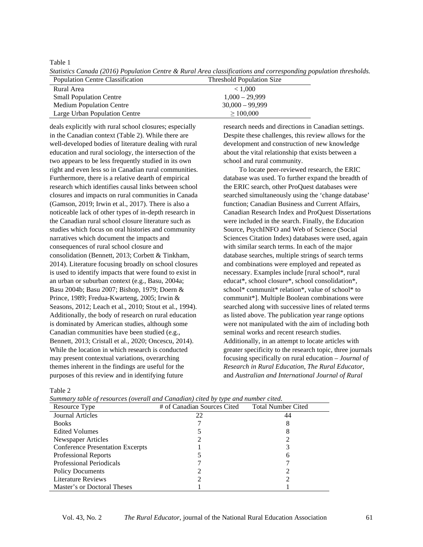Table 1

| Population Centre Classification | <b>Threshold Population Size</b> |
|----------------------------------|----------------------------------|
| Rural Area                       | < 1.000                          |
| <b>Small Population Centre</b>   | $1,000 - 29,999$                 |
| Medium Population Centre         | $30,000 - 99,999$                |
| Large Urban Population Centre    | >100,000                         |

*Statistics Canada (2016) Population Centre & Rural Area classifications and corresponding population thresholds.*

deals explicitly with rural school closures; especially in the Canadian context (Table 2). While there are well-developed bodies of literature dealing with rural education and rural sociology, the intersection of the two appears to be less frequently studied in its own right and even less so in Canadian rural communities. Furthermore, there is a relative dearth of empirical research which identifies causal links between school closures and impacts on rural communities in Canada (Gamson, 2019; Irwin et al., 2017). There is also a noticeable lack of other types of in-depth research in the Canadian rural school closure literature such as studies which focus on oral histories and community narratives which document the impacts and consequences of rural school closure and consolidation (Bennett, 2013; Corbett & Tinkham, 2014). Literature focusing broadly on school closures is used to identify impacts that were found to exist in an urban or suburban context (e.g., Basu, 2004a; Basu 2004b; Basu 2007; Bishop, 1979; Doern & Prince, 1989; Fredua-Kwarteng, 2005; Irwin & Seasons, 2012; Leach et al., 2010; Stout et al., 1994). Additionally, the body of research on rural education is dominated by American studies, although some Canadian communities have been studied (e.g., Bennett, 2013; Cristall et al., 2020; Oncescu, 2014). While the location in which research is conducted may present contextual variations, overarching themes inherent in the findings are useful for the purposes of this review and in identifying future

research needs and directions in Canadian settings. Despite these challenges, this review allows for the development and construction of new knowledge about the vital relationship that exists between a school and rural community.

To locate peer-reviewed research, the ERIC database was used. To further expand the breadth of the ERIC search, other ProQuest databases were searched simultaneously using the 'change database' function; Canadian Business and Current Affairs, Canadian Research Index and ProQuest Dissertations were included in the search. Finally, the Education Source, PsychINFO and Web of Science (Social Sciences Citation Index) databases were used, again with similar search terms. In each of the major database searches, multiple strings of search terms and combinations were employed and repeated as necessary. Examples include [rural school\*, rural educat\*, school closure\*, school consolidation\*, school\* communit\* relation\*, value of school\* to communit\*]. Multiple Boolean combinations were searched along with successive lines of related terms as listed above. The publication year range options were not manipulated with the aim of including both seminal works and recent research studies. Additionally, in an attempt to locate articles with greater specificity to the research topic, three journals focusing specifically on rural education – *Journal of Research in Rural Education*, *The Rural Educator*, and *Australian and International Journal of Rural*

| I |  |
|---|--|
| I |  |

| Summary table of resources (overall and Candalah) cited by type and number cited. |                             |                           |  |
|-----------------------------------------------------------------------------------|-----------------------------|---------------------------|--|
| Resource Type                                                                     | # of Canadian Sources Cited | <b>Total Number Cited</b> |  |
| Journal Articles                                                                  | 22                          | 44                        |  |
| <b>Books</b>                                                                      |                             |                           |  |
| <b>Edited Volumes</b>                                                             |                             |                           |  |
| Newspaper Articles                                                                |                             |                           |  |
| <b>Conference Presentation Excerpts</b>                                           |                             |                           |  |
| Professional Reports                                                              |                             |                           |  |
| Professional Periodicals                                                          |                             |                           |  |
| <b>Policy Documents</b>                                                           |                             |                           |  |
| <b>Literature Reviews</b>                                                         |                             |                           |  |
| Master's or Doctoral Theses                                                       |                             |                           |  |

*Summary table of resources (overall and Canadian) cited by type and number cited.*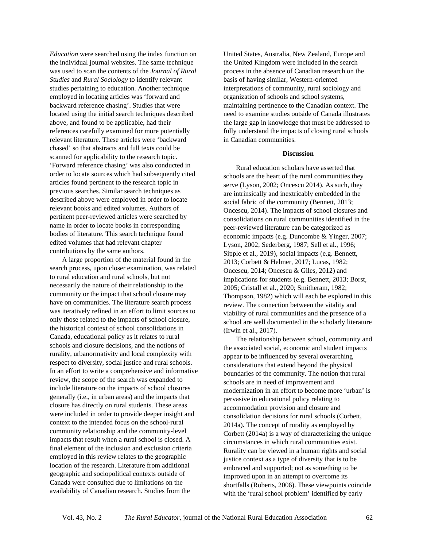*Education* were searched using the index function on the individual journal websites. The same technique was used to scan the contents of the *Journal of Rural Studies* and *Rural Sociology* to identify relevant studies pertaining to education. Another technique employed in locating articles was 'forward and backward reference chasing'. Studies that were located using the initial search techniques described above, and found to be applicable, had their references carefully examined for more potentially relevant literature. These articles were 'backward chased' so that abstracts and full texts could be scanned for applicability to the research topic. 'Forward reference chasing' was also conducted in order to locate sources which had subsequently cited articles found pertinent to the research topic in previous searches. Similar search techniques as described above were employed in order to locate relevant books and edited volumes. Authors of pertinent peer-reviewed articles were searched by name in order to locate books in corresponding bodies of literature. This search technique found edited volumes that had relevant chapter contributions by the same authors.

A large proportion of the material found in the search process, upon closer examination, was related to rural education and rural schools, but not necessarily the nature of their relationship to the community or the impact that school closure may have on communities. The literature search process was iteratively refined in an effort to limit sources to only those related to the impacts of school closure, the historical context of school consolidations in Canada, educational policy as it relates to rural schools and closure decisions, and the notions of rurality, urbanormativity and local complexity with respect to diversity, social justice and rural schools. In an effort to write a comprehensive and informative review, the scope of the search was expanded to include literature on the impacts of school closures generally (i.e., in urban areas) and the impacts that closure has directly on rural students. These areas were included in order to provide deeper insight and context to the intended focus on the school-rural community relationship and the community-level impacts that result when a rural school is closed. A final element of the inclusion and exclusion criteria employed in this review relates to the geographic location of the research. Literature from additional geographic and sociopolitical contexts outside of Canada were consulted due to limitations on the availability of Canadian research. Studies from the

United States, Australia, New Zealand, Europe and the United Kingdom were included in the search process in the absence of Canadian research on the basis of having similar, Western-oriented interpretations of community, rural sociology and organization of schools and school systems, maintaining pertinence to the Canadian context. The need to examine studies outside of Canada illustrates the large gap in knowledge that must be addressed to fully understand the impacts of closing rural schools in Canadian communities.

#### **Discussion**

Rural education scholars have asserted that schools are the heart of the rural communities they serve (Lyson, 2002; Oncescu 2014). As such, they are intrinsically and inextricably embedded in the social fabric of the community (Bennett, 2013; Oncescu, 2014). The impacts of school closures and consolidations on rural communities identified in the peer-reviewed literature can be categorized as economic impacts (e.g. Duncombe & Yinger, 2007; Lyson, 2002; Sederberg, 1987; Sell et al., 1996; Sipple et al., 2019), social impacts (e.g. Bennett, 2013; Corbett & Helmer, 2017; Lucas, 1982; Oncescu, 2014; Oncescu & Giles, 2012) and implications for students (e.g. Bennett, 2013; Borst, 2005; Cristall et al., 2020; Smitheram, 1982; Thompson, 1982) which will each be explored in this review. The connection between the vitality and viability of rural communities and the presence of a school are well documented in the scholarly literature (Irwin et al., 2017).

The relationship between school, community and the associated social, economic and student impacts appear to be influenced by several overarching considerations that extend beyond the physical boundaries of the community. The notion that rural schools are in need of improvement and modernization in an effort to become more 'urban' is pervasive in educational policy relating to accommodation provision and closure and consolidation decisions for rural schools (Corbett, 2014a). The concept of rurality as employed by Corbett (2014a) is a way of characterizing the unique circumstances in which rural communities exist. Rurality can be viewed in a human rights and social justice context as a type of diversity that is to be embraced and supported; not as something to be improved upon in an attempt to overcome its shortfalls (Roberts, 2006). These viewpoints coincide with the 'rural school problem' identified by early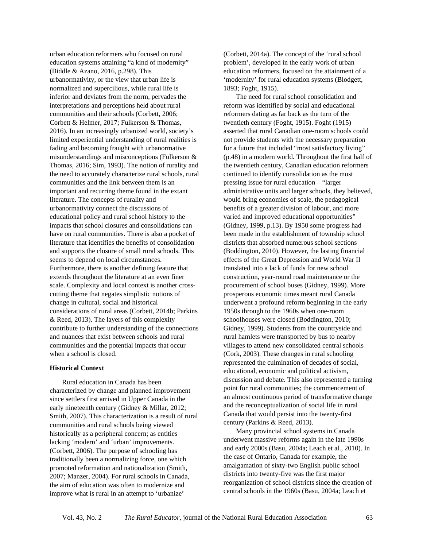urban education reformers who focused on rural education systems attaining "a kind of modernity" (Biddle & Azano, 2016, p.298). This urbanormativity, or the view that urban life is normalized and supercilious, while rural life is inferior and deviates from the norm, pervades the interpretations and perceptions held about rural communities and their schools (Corbett, 2006; Corbett & Helmer, 2017; Fulkerson & Thomas, 2016). In an increasingly urbanized world, society's limited experiential understanding of rural realities is fading and becoming fraught with urbanormative misunderstandings and misconceptions (Fulkerson & Thomas, 2016; Sim, 1993). The notion of rurality and the need to accurately characterize rural schools, rural communities and the link between them is an important and recurring theme found in the extant literature. The concepts of rurality and urbanormativity connect the discussions of educational policy and rural school history to the impacts that school closures and consolidations can have on rural communities. There is also a pocket of literature that identifies the benefits of consolidation and supports the closure of small rural schools. This seems to depend on local circumstances. Furthermore, there is another defining feature that extends throughout the literature at an even finer scale. Complexity and local context is another crosscutting theme that negates simplistic notions of change in cultural, social and historical considerations of rural areas (Corbett, 2014b; Parkins & Reed, 2013). The layers of this complexity contribute to further understanding of the connections and nuances that exist between schools and rural communities and the potential impacts that occur when a school is closed.

# **Historical Context**

Rural education in Canada has been characterized by change and planned improvement since settlers first arrived in Upper Canada in the early nineteenth century (Gidney & Millar, 2012; Smith, 2007). This characterization is a result of rural communities and rural schools being viewed historically as a peripheral concern; as entities lacking 'modern' and 'urban' improvements. (Corbett, 2006). The purpose of schooling has traditionally been a normalizing force, one which promoted reformation and nationalization (Smith, 2007; Manzer, 2004). For rural schools in Canada, the aim of education was often to modernize and improve what is rural in an attempt to 'urbanize'

(Corbett, 2014a). The concept of the 'rural school problem', developed in the early work of urban education reformers, focused on the attainment of a 'modernity' for rural education systems (Blodgett, 1893; Foght, 1915).

The need for rural school consolidation and reform was identified by social and educational reformers dating as far back as the turn of the twentieth century (Foght, 1915). Foght (1915) asserted that rural Canadian one-room schools could not provide students with the necessary preparation for a future that included "most satisfactory living" (p.48) in a modern world. Throughout the first half of the twentieth century, Canadian education reformers continued to identify consolidation as the most pressing issue for rural education – "larger administrative units and larger schools, they believed, would bring economies of scale, the pedagogical benefits of a greater division of labour, and more varied and improved educational opportunities" (Gidney, 1999, p.13). By 1950 some progress had been made in the establishment of township school districts that absorbed numerous school sections (Boddington, 2010). However, the lasting financial effects of the Great Depression and World War II translated into a lack of funds for new school construction, year-round road maintenance or the procurement of school buses (Gidney, 1999). More prosperous economic times meant rural Canada underwent a profound reform beginning in the early 1950s through to the 1960s when one-room schoolhouses were closed (Boddington, 2010; Gidney, 1999). Students from the countryside and rural hamlets were transported by bus to nearby villages to attend new consolidated central schools (Cork, 2003). These changes in rural schooling represented the culmination of decades of social, educational, economic and political activism, discussion and debate. This also represented a turning point for rural communities; the commencement of an almost continuous period of transformative change and the reconceptualization of social life in rural Canada that would persist into the twenty-first century (Parkins & Reed, 2013).

Many provincial school systems in Canada underwent massive reforms again in the late 1990s and early 2000s (Basu, 2004a; Leach et al., 2010). In the case of Ontario, Canada for example, the amalgamation of sixty-two English public school districts into twenty-five was the first major reorganization of school districts since the creation of central schools in the 1960s (Basu, 2004a; Leach et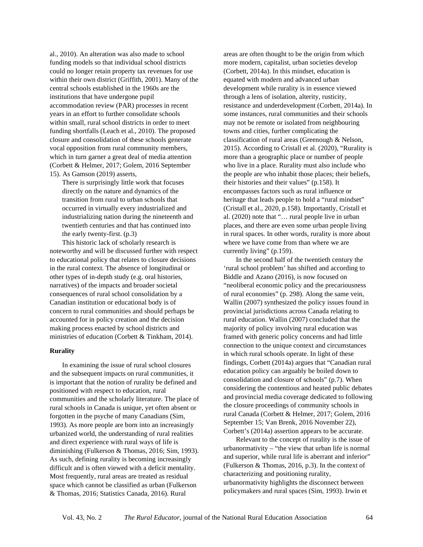al., 2010). An alteration was also made to school funding models so that individual school districts could no longer retain property tax revenues for use within their own district (Griffith, 2001). Many of the central schools established in the 1960s are the institutions that have undergone pupil accommodation review (PAR) processes in recent years in an effort to further consolidate schools within small, rural school districts in order to meet funding shortfalls (Leach et al., 2010). The proposed closure and consolidation of these schools generate vocal opposition from rural community members, which in turn garner a great deal of media attention (Corbett & Helmer, 2017; Golem, 2016 September 15). As Gamson (2019) asserts,

There is surprisingly little work that focuses directly on the nature and dynamics of the transition from rural to urban schools that occurred in virtually every industrialized and industrializing nation during the nineteenth and twentieth centuries and that has continued into the early twenty-first. (p.3)

This historic lack of scholarly research is noteworthy and will be discussed further with respect to educational policy that relates to closure decisions in the rural context. The absence of longitudinal or other types of in-depth study (e.g. oral histories, narratives) of the impacts and broader societal consequences of rural school consolidation by a Canadian institution or educational body is of concern to rural communities and should perhaps be accounted for in policy creation and the decision making process enacted by school districts and ministries of education (Corbett & Tinkham, 2014).

#### **Rurality**

In examining the issue of rural school closures and the subsequent impacts on rural communities, it is important that the notion of rurality be defined and positioned with respect to education, rural communities and the scholarly literature. The place of rural schools in Canada is unique, yet often absent or forgotten in the psyche of many Canadians (Sim, 1993). As more people are born into an increasingly urbanized world, the understanding of rural realities and direct experience with rural ways of life is diminishing (Fulkerson & Thomas, 2016; Sim, 1993). As such, defining rurality is becoming increasingly difficult and is often viewed with a deficit mentality. Most frequently, rural areas are treated as residual space which cannot be classified as urban (Fulkerson & Thomas, 2016; Statistics Canada, 2016). Rural

areas are often thought to be the origin from which more modern, capitalist, urban societies develop (Corbett, 2014a). In this mindset, education is equated with modern and advanced urban development while rurality is in essence viewed through a lens of isolation, alterity, rusticity, resistance and underdevelopment (Corbett, 2014a). In some instances, rural communities and their schools may not be remote or isolated from neighbouring towns and cities, further complicating the classification of rural areas (Greenough & Nelson, 2015). According to Cristall et al. (2020), "Rurality is more than a geographic place or number of people who live in a place. Rurality must also include who the people are who inhabit those places; their beliefs, their histories and their values" (p.158). It encompasses factors such as rural influence or heritage that leads people to hold a "rural mindset" (Cristall et al., 2020, p.158). Importantly, Cristall et al. (2020) note that "… rural people live in urban places, and there are even some urban people living in rural spaces. In other words, rurality is more about where we have come from than where we are currently living" (p.159).

In the second half of the twentieth century the 'rural school problem' has shifted and according to Biddle and Azano (2016), is now focused on "neoliberal economic policy and the precariousness of rural economies" (p. 298). Along the same vein, Wallin (2007) synthesized the policy issues found in provincial jurisdictions across Canada relating to rural education. Wallin (2007) concluded that the majority of policy involving rural education was framed with generic policy concerns and had little connection to the unique context and circumstances in which rural schools operate. In light of these findings, Corbett (2014a) argues that "Canadian rural education policy can arguably be boiled down to consolidation and closure of schools" (p.7). When considering the contentious and heated public debates and provincial media coverage dedicated to following the closure proceedings of community schools in rural Canada (Corbett & Helmer, 2017; Golem, 2016 September 15; Van Brenk, 2016 November 22), Corbett's (2014a) assertion appears to be accurate.

Relevant to the concept of rurality is the issue of urbanormativity – "the view that urban life is normal and superior, while rural life is aberrant and inferior" (Fulkerson & Thomas, 2016, p.3). In the context of characterizing and positioning rurality, urbanormativity highlights the disconnect between policymakers and rural spaces (Sim, 1993). Irwin et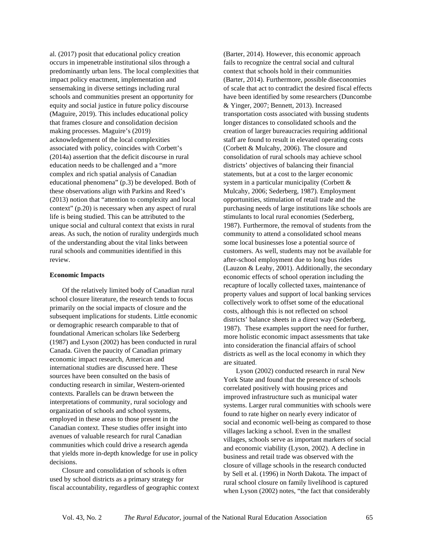al. (2017) posit that educational policy creation occurs in impenetrable institutional silos through a predominantly urban lens. The local complexities that impact policy enactment, implementation and sensemaking in diverse settings including rural schools and communities present an opportunity for equity and social justice in future policy discourse (Maguire, 2019). This includes educational policy that frames closure and consolidation decision making processes. Maguire's (2019) acknowledgement of the local complexities associated with policy, coincides with Corbett's (2014a) assertion that the deficit discourse in rural education needs to be challenged and a "more complex and rich spatial analysis of Canadian educational phenomena" (p.3) be developed. Both of these observations align with Parkins and Reed's (2013) notion that "attention to complexity and local context" (p.20) is necessary when any aspect of rural life is being studied. This can be attributed to the unique social and cultural context that exists in rural areas. As such, the notion of rurality undergirds much of the understanding about the vital links between rural schools and communities identified in this review.

### **Economic Impacts**

Of the relatively limited body of Canadian rural school closure literature, the research tends to focus primarily on the social impacts of closure and the subsequent implications for students. Little economic or demographic research comparable to that of foundational American scholars like Sederberg (1987) and Lyson (2002) has been conducted in rural Canada. Given the paucity of Canadian primary economic impact research, American and international studies are discussed here. These sources have been consulted on the basis of conducting research in similar, Western-oriented contexts. Parallels can be drawn between the interpretations of community, rural sociology and organization of schools and school systems, employed in these areas to those present in the Canadian context. These studies offer insight into avenues of valuable research for rural Canadian communities which could drive a research agenda that yields more in-depth knowledge for use in policy decisions.

Closure and consolidation of schools is often used by school districts as a primary strategy for fiscal accountability, regardless of geographic context

(Barter, 2014). However, this economic approach fails to recognize the central social and cultural context that schools hold in their communities (Barter, 2014). Furthermore, possible diseconomies of scale that act to contradict the desired fiscal effects have been identified by some researchers (Duncombe & Yinger, 2007; Bennett, 2013). Increased transportation costs associated with bussing students longer distances to consolidated schools and the creation of larger bureaucracies requiring additional staff are found to result in elevated operating costs (Corbett & Mulcahy, 2006). The closure and consolidation of rural schools may achieve school districts' objectives of balancing their financial statements, but at a cost to the larger economic system in a particular municipality (Corbett & Mulcahy, 2006; Sederberg, 1987). Employment opportunities, stimulation of retail trade and the purchasing needs of large institutions like schools are stimulants to local rural economies (Sederberg, 1987). Furthermore, the removal of students from the community to attend a consolidated school means some local businesses lose a potential source of customers. As well, students may not be available for after-school employment due to long bus rides (Lauzon & Leahy, 2001). Additionally, the secondary economic effects of school operation including the recapture of locally collected taxes, maintenance of property values and support of local banking services collectively work to offset some of the educational costs, although this is not reflected on school districts' balance sheets in a direct way (Sederberg, 1987). These examples support the need for further, more holistic economic impact assessments that take into consideration the financial affairs of school districts as well as the local economy in which they are situated.

Lyson (2002) conducted research in rural New York State and found that the presence of schools correlated positively with housing prices and improved infrastructure such as municipal water systems. Larger rural communities with schools were found to rate higher on nearly every indicator of social and economic well-being as compared to those villages lacking a school. Even in the smallest villages, schools serve as important markers of social and economic viability (Lyson, 2002). A decline in business and retail trade was observed with the closure of village schools in the research conducted by Sell et al. (1996) in North Dakota. The impact of rural school closure on family livelihood is captured when Lyson (2002) notes, "the fact that considerably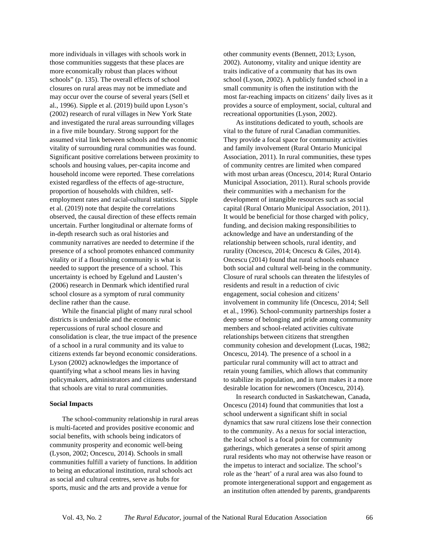more individuals in villages with schools work in those communities suggests that these places are more economically robust than places without schools" (p. 135). The overall effects of school closures on rural areas may not be immediate and may occur over the course of several years (Sell et al., 1996). Sipple et al. (2019) build upon Lyson's (2002) research of rural villages in New York State and investigated the rural areas surrounding villages in a five mile boundary. Strong support for the assumed vital link between schools and the economic vitality of surrounding rural communities was found. Significant positive correlations between proximity to schools and housing values, per-capita income and household income were reported. These correlations existed regardless of the effects of age-structure, proportion of households with children, selfemployment rates and racial-cultural statistics. Sipple et al. (2019) note that despite the correlations observed, the causal direction of these effects remain uncertain. Further longitudinal or alternate forms of in-depth research such as oral histories and community narratives are needed to determine if the presence of a school promotes enhanced community vitality or if a flourishing community is what is needed to support the presence of a school. This uncertainty is echoed by Egelund and Lausten's (2006) research in Denmark which identified rural school closure as a symptom of rural community decline rather than the cause.

While the financial plight of many rural school districts is undeniable and the economic repercussions of rural school closure and consolidation is clear, the true impact of the presence of a school in a rural community and its value to citizens extends far beyond economic considerations. Lyson (2002) acknowledges the importance of quantifying what a school means lies in having policymakers, administrators and citizens understand that schools are vital to rural communities.

#### **Social Impacts**

The school-community relationship in rural areas is multi-faceted and provides positive economic and social benefits, with schools being indicators of community prosperity and economic well-being (Lyson, 2002; Oncescu, 2014). Schools in small communities fulfill a variety of functions. In addition to being an educational institution, rural schools act as social and cultural centres, serve as hubs for sports, music and the arts and provide a venue for

other community events (Bennett, 2013; Lyson, 2002). Autonomy, vitality and unique identity are traits indicative of a community that has its own school (Lyson, 2002). A publicly funded school in a small community is often the institution with the most far-reaching impacts on citizens' daily lives as it provides a source of employment, social, cultural and recreational opportunities (Lyson, 2002).

As institutions dedicated to youth, schools are vital to the future of rural Canadian communities. They provide a focal space for community activities and family involvement (Rural Ontario Municipal Association, 2011). In rural communities, these types of community centres are limited when compared with most urban areas (Oncescu, 2014; Rural Ontario Municipal Association, 2011). Rural schools provide their communities with a mechanism for the development of intangible resources such as social capital (Rural Ontario Municipal Association, 2011). It would be beneficial for those charged with policy, funding, and decision making responsibilities to acknowledge and have an understanding of the relationship between schools, rural identity, and rurality (Oncescu, 2014; Oncescu & Giles, 2014). Oncescu (2014) found that rural schools enhance both social and cultural well-being in the community. Closure of rural schools can threaten the lifestyles of residents and result in a reduction of civic engagement, social cohesion and citizens' involvement in community life (Oncescu, 2014; Sell et al., 1996). School-community partnerships foster a deep sense of belonging and pride among community members and school-related activities cultivate relationships between citizens that strengthen community cohesion and development (Lucas, 1982; Oncescu, 2014). The presence of a school in a particular rural community will act to attract and retain young families, which allows that community to stabilize its population, and in turn makes it a more desirable location for newcomers (Oncescu, 2014).

In research conducted in Saskatchewan, Canada, Oncescu (2014) found that communities that lost a school underwent a significant shift in social dynamics that saw rural citizens lose their connection to the community. As a nexus for social interaction, the local school is a focal point for community gatherings, which generates a sense of spirit among rural residents who may not otherwise have reason or the impetus to interact and socialize. The school's role as the 'heart' of a rural area was also found to promote intergenerational support and engagement as an institution often attended by parents, grandparents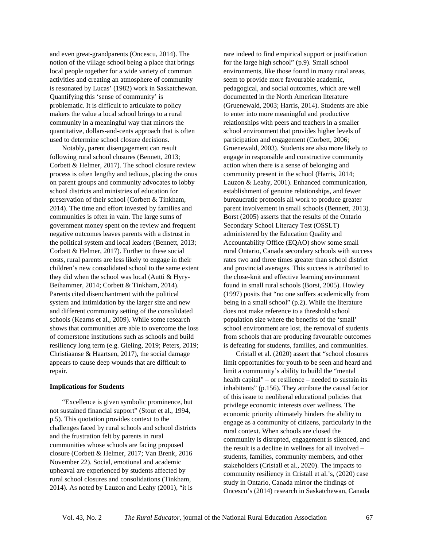and even great-grandparents (Oncescu, 2014). The notion of the village school being a place that brings local people together for a wide variety of common activities and creating an atmosphere of community is resonated by Lucas' (1982) work in Saskatchewan. Quantifying this 'sense of community' is problematic. It is difficult to articulate to policy makers the value a local school brings to a rural community in a meaningful way that mirrors the quantitative, dollars-and-cents approach that is often used to determine school closure decisions.

Notably, parent disengagement can result following rural school closures (Bennett, 2013; Corbett & Helmer, 2017). The school closure review process is often lengthy and tedious, placing the onus on parent groups and community advocates to lobby school districts and ministries of education for preservation of their school (Corbett & Tinkham, 2014). The time and effort invested by families and communities is often in vain. The large sums of government money spent on the review and frequent negative outcomes leaves parents with a distrust in the political system and local leaders (Bennett, 2013; Corbett & Helmer, 2017). Further to these social costs, rural parents are less likely to engage in their children's new consolidated school to the same extent they did when the school was local (Autti & Hyry-Beihammer, 2014; Corbett & Tinkham, 2014). Parents cited disenchantment with the political system and intimidation by the larger size and new and different community setting of the consolidated schools (Kearns et al., 2009). While some research shows that communities are able to overcome the loss of cornerstone institutions such as schools and build resiliency long term (e.g. Gieling, 2019; Peters, 2019; Christiaanse & Haartsen, 2017), the social damage appears to cause deep wounds that are difficult to repair.

# **Implications for Students**

"Excellence is given symbolic prominence, but not sustained financial support" (Stout et al., 1994, p.5). This quotation provides context to the challenges faced by rural schools and school districts and the frustration felt by parents in rural communities whose schools are facing proposed closure (Corbett & Helmer, 2017; Van Brenk, 2016 November 22). Social, emotional and academic upheaval are experienced by students affected by rural school closures and consolidations (Tinkham, 2014). As noted by Lauzon and Leahy (2001), "it is

rare indeed to find empirical support or justification for the large high school" (p.9). Small school environments, like those found in many rural areas, seem to provide more favourable academic, pedagogical, and social outcomes, which are well documented in the North American literature (Gruenewald, 2003; Harris, 2014). Students are able to enter into more meaningful and productive relationships with peers and teachers in a smaller school environment that provides higher levels of participation and engagement (Corbett, 2006; Gruenewald, 2003). Students are also more likely to engage in responsible and constructive community action when there is a sense of belonging and community present in the school (Harris, 2014; Lauzon & Leahy, 2001). Enhanced communication, establishment of genuine relationships, and fewer bureaucratic protocols all work to produce greater parent involvement in small schools (Bennett, 2013). Borst (2005) asserts that the results of the Ontario Secondary School Literacy Test (OSSLT) administered by the Education Quality and Accountability Office (EQAO) show some small rural Ontario, Canada secondary schools with success rates two and three times greater than school district and provincial averages. This success is attributed to the close-knit and effective learning environment found in small rural schools (Borst, 2005). Howley (1997) posits that "no one suffers academically from being in a small school" (p.2). While the literature does not make reference to a threshold school population size where the benefits of the 'small' school environment are lost, the removal of students from schools that are producing favourable outcomes is defeating for students, families, and communities.

Cristall et al. (2020) assert that "school closures limit opportunities for youth to be seen and heard and limit a community's ability to build the "mental health capital" – or resilience – needed to sustain its inhabitants" (p.156). They attribute the causal factor of this issue to neoliberal educational policies that privilege economic interests over wellness. The economic priority ultimately hinders the ability to engage as a community of citizens, particularly in the rural context. When schools are closed the community is disrupted, engagement is silenced, and the result is a decline in wellness for all involved – students, families, community members, and other stakeholders (Cristall et al., 2020). The impacts to community resiliency in Cristall et al.'s, (2020) case study in Ontario, Canada mirror the findings of Oncescu's (2014) research in Saskatchewan, Canada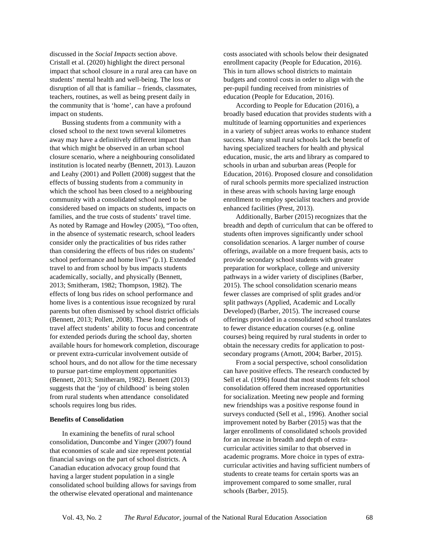discussed in the *Social Impacts* section above. Cristall et al. (2020) highlight the direct personal impact that school closure in a rural area can have on students' mental health and well-being. The loss or disruption of all that is familiar – friends, classmates, teachers, routines, as well as being present daily in the community that is 'home', can have a profound impact on students.

Bussing students from a community with a closed school to the next town several kilometres away may have a definitively different impact than that which might be observed in an urban school closure scenario, where a neighbouring consolidated institution is located nearby (Bennett, 2013). Lauzon and Leahy (2001) and Pollett (2008) suggest that the effects of bussing students from a community in which the school has been closed to a neighbouring community with a consolidated school need to be considered based on impacts on students, impacts on families, and the true costs of students' travel time. As noted by Ramage and Howley (2005), "Too often, in the absence of systematic research, school leaders consider only the practicalities of bus rides rather than considering the effects of bus rides on students' school performance and home lives" (p.1). Extended travel to and from school by bus impacts students academically, socially, and physically (Bennett, 2013; Smitheram, 1982; Thompson, 1982). The effects of long bus rides on school performance and home lives is a contentious issue recognized by rural parents but often dismissed by school district officials (Bennett, 2013; Pollett, 2008). These long periods of travel affect students' ability to focus and concentrate for extended periods during the school day, shorten available hours for homework completion, discourage or prevent extra-curricular involvement outside of school hours, and do not allow for the time necessary to pursue part-time employment opportunities (Bennett, 2013; Smitheram, 1982). Bennett (2013) suggests that the 'joy of childhood' is being stolen from rural students when attendance consolidated schools requires long bus rides.

#### **Benefits of Consolidation**

In examining the benefits of rural school consolidation, Duncombe and Yinger (2007) found that economies of scale and size represent potential financial savings on the part of school districts. A Canadian education advocacy group found that having a larger student population in a single consolidated school building allows for savings from the otherwise elevated operational and maintenance

costs associated with schools below their designated enrollment capacity (People for Education, 2016). This in turn allows school districts to maintain budgets and control costs in order to align with the per-pupil funding received from ministries of education (People for Education, 2016).

According to People for Education (2016), a broadly based education that provides students with a multitude of learning opportunities and experiences in a variety of subject areas works to enhance student success. Many small rural schools lack the benefit of having specialized teachers for health and physical education, music, the arts and library as compared to schools in urban and suburban areas (People for Education, 2016). Proposed closure and consolidation of rural schools permits more specialized instruction in these areas with schools having large enough enrollment to employ specialist teachers and provide enhanced facilities (Prest, 2013).

Additionally, Barber (2015) recognizes that the breadth and depth of curriculum that can be offered to students often improves significantly under school consolidation scenarios. A larger number of course offerings, available on a more frequent basis, acts to provide secondary school students with greater preparation for workplace, college and university pathways in a wider variety of disciplines (Barber, 2015). The school consolidation scenario means fewer classes are comprised of split grades and/or split pathways (Applied, Academic and Locally Developed) (Barber, 2015). The increased course offerings provided in a consolidated school translates to fewer distance education courses (e.g. online courses) being required by rural students in order to obtain the necessary credits for application to postsecondary programs (Arnott, 2004; Barber, 2015).

From a social perspective, school consolidation can have positive effects. The research conducted by Sell et al. (1996) found that most students felt school consolidation offered them increased opportunities for socialization. Meeting new people and forming new friendships was a positive response found in surveys conducted (Sell et al., 1996). Another social improvement noted by Barber (2015) was that the larger enrollments of consolidated schools provided for an increase in breadth and depth of extracurricular activities similar to that observed in academic programs. More choice in types of extracurricular activities and having sufficient numbers of students to create teams for certain sports was an improvement compared to some smaller, rural schools (Barber, 2015).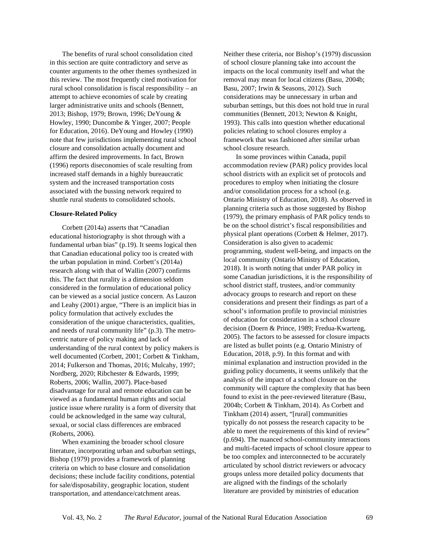The benefits of rural school consolidation cited in this section are quite contradictory and serve as counter arguments to the other themes synthesized in this review. The most frequently cited motivation for rural school consolidation is fiscal responsibility – an attempt to achieve economies of scale by creating larger administrative units and schools (Bennett, 2013; Bishop, 1979; Brown, 1996; DeYoung & Howley, 1990; Duncombe & Yinger, 2007; People for Education, 2016). DeYoung and Howley (1990) note that few jurisdictions implementing rural school closure and consolidation actually document and affirm the desired improvements. In fact, Brown (1996) reports diseconomies of scale resulting from increased staff demands in a highly bureaucratic system and the increased transportation costs associated with the bussing network required to shuttle rural students to consolidated schools.

#### **Closure-Related Policy**

Corbett (2014a) asserts that "Canadian educational historiography is shot through with a fundamental urban bias" (p.19). It seems logical then that Canadian educational policy too is created with the urban population in mind. Corbett's (2014a) research along with that of Wallin (2007) confirms this. The fact that rurality is a dimension seldom considered in the formulation of educational policy can be viewed as a social justice concern. As Lauzon and Leahy (2001) argue, "There is an implicit bias in policy formulation that actively excludes the consideration of the unique characteristics, qualities, and needs of rural community life" (p.3). The metrocentric nature of policy making and lack of understanding of the rural context by policy makers is well documented (Corbett, 2001; Corbett & Tinkham, 2014; Fulkerson and Thomas, 2016; Mulcahy, 1997; Nordberg, 2020; Ribchester & Edwards, 1999; Roberts, 2006; Wallin, 2007). Place-based disadvantage for rural and remote education can be viewed as a fundamental human rights and social justice issue where rurality is a form of diversity that could be acknowledged in the same way cultural, sexual, or social class differences are embraced (Roberts, 2006).

When examining the broader school closure literature, incorporating urban and suburban settings, Bishop (1979) provides a framework of planning criteria on which to base closure and consolidation decisions; these include facility conditions, potential for sale/disposability, geographic location, student transportation, and attendance/catchment areas.

Neither these criteria, nor Bishop's (1979) discussion of school closure planning take into account the impacts on the local community itself and what the removal may mean for local citizens (Basu, 2004b; Basu, 2007; Irwin & Seasons, 2012). Such considerations may be unnecessary in urban and suburban settings, but this does not hold true in rural communities (Bennett, 2013; Newton & Knight, 1993). This calls into question whether educational policies relating to school closures employ a framework that was fashioned after similar urban school closure research.

In some provinces within Canada, pupil accommodation review (PAR) policy provides local school districts with an explicit set of protocols and procedures to employ when initiating the closure and/or consolidation process for a school (e.g. Ontario Ministry of Education, 2018). As observed in planning criteria such as those suggested by Bishop (1979), the primary emphasis of PAR policy tends to be on the school district's fiscal responsibilities and physical plant operations (Corbett & Helmer, 2017). Consideration is also given to academic programming, student well-being, and impacts on the local community (Ontario Ministry of Education, 2018). It is worth noting that under PAR policy in some Canadian jurisdictions, it is the responsibility of school district staff, trustees, and/or community advocacy groups to research and report on these considerations and present their findings as part of a school's information profile to provincial ministries of education for consideration in a school closure decision (Doern & Prince, 1989; Fredua-Kwarteng, 2005). The factors to be assessed for closure impacts are listed as bullet points (e.g. Ontario Ministry of Education, 2018, p.9). In this format and with minimal explanation and instruction provided in the guiding policy documents, it seems unlikely that the analysis of the impact of a school closure on the community will capture the complexity that has been found to exist in the peer-reviewed literature (Basu, 2004b; Corbett & Tinkham, 2014). As Corbett and Tinkham (2014) assert, "[rural] communities typically do not possess the research capacity to be able to meet the requirements of this kind of review" (p.694). The nuanced school-community interactions and multi-faceted impacts of school closure appear to be too complex and interconnected to be accurately articulated by school district reviewers or advocacy groups unless more detailed policy documents that are aligned with the findings of the scholarly literature are provided by ministries of education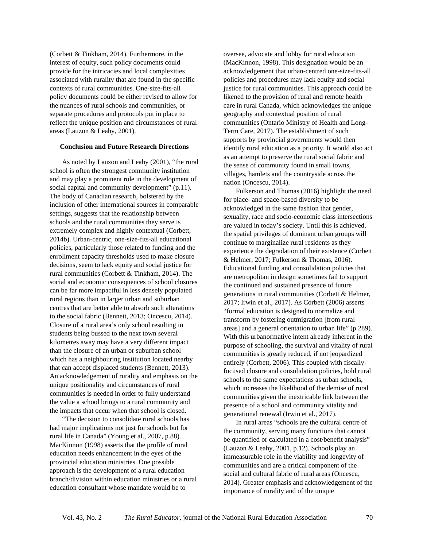(Corbett & Tinkham, 2014). Furthermore, in the interest of equity, such policy documents could provide for the intricacies and local complexities associated with rurality that are found in the specific contexts of rural communities. One-size-fits-all policy documents could be either revised to allow for the nuances of rural schools and communities, or separate procedures and protocols put in place to reflect the unique position and circumstances of rural areas (Lauzon & Leahy, 2001).

## **Conclusion and Future Research Directions**

As noted by Lauzon and Leahy (2001), "the rural school is often the strongest community institution and may play a prominent role in the development of social capital and community development" (p.11). The body of Canadian research, bolstered by the inclusion of other international sources in comparable settings, suggests that the relationship between schools and the rural communities they serve is extremely complex and highly contextual (Corbett, 2014b). Urban-centric, one-size-fits-all educational policies, particularly those related to funding and the enrollment capacity thresholds used to make closure decisions, seem to lack equity and social justice for rural communities (Corbett & Tinkham, 2014). The social and economic consequences of school closures can be far more impactful in less densely populated rural regions than in larger urban and suburban centres that are better able to absorb such alterations to the social fabric (Bennett, 2013; Oncescu, 2014). Closure of a rural area's only school resulting in students being bussed to the next town several kilometres away may have a very different impact than the closure of an urban or suburban school which has a neighbouring institution located nearby that can accept displaced students (Bennett, 2013). An acknowledgement of rurality and emphasis on the unique positionality and circumstances of rural communities is needed in order to fully understand the value a school brings to a rural community and the impacts that occur when that school is closed.

"The decision to consolidate rural schools has had major implications not just for schools but for rural life in Canada" (Young et al., 2007, p.88). MacKinnon (1998) asserts that the profile of rural education needs enhancement in the eyes of the provincial education ministries. One possible approach is the development of a rural education branch/division within education ministries or a rural education consultant whose mandate would be to

oversee, advocate and lobby for rural education (MacKinnon, 1998). This designation would be an acknowledgement that urban-centred one-size-fits-all policies and procedures may lack equity and social justice for rural communities. This approach could be likened to the provision of rural and remote health care in rural Canada, which acknowledges the unique geography and contextual position of rural communities (Ontario Ministry of Health and Long-Term Care, 2017). The establishment of such supports by provincial governments would then identify rural education as a priority. It would also act as an attempt to preserve the rural social fabric and the sense of community found in small towns, villages, hamlets and the countryside across the nation (Oncescu, 2014).

Fulkerson and Thomas (2016) highlight the need for place- and space-based diversity to be acknowledged in the same fashion that gender, sexuality, race and socio-economic class intersections are valued in today's society. Until this is achieved, the spatial privileges of dominant urban groups will continue to marginalize rural residents as they experience the degradation of their existence (Corbett & Helmer, 2017; Fulkerson & Thomas, 2016). Educational funding and consolidation policies that are metropolitan in design sometimes fail to support the continued and sustained presence of future generations in rural communities (Corbett & Helmer, 2017; Irwin et al., 2017). As Corbett (2006) asserts "formal education is designed to normalize and transform by fostering outmigration [from rural areas] and a general orientation to urban life" (p.289). With this urbanormative intent already inherent in the purpose of schooling, the survival and vitality of rural communities is greatly reduced, if not jeopardized entirely (Corbett, 2006). This coupled with fiscallyfocused closure and consolidation policies, hold rural schools to the same expectations as urban schools, which increases the likelihood of the demise of rural communities given the inextricable link between the presence of a school and community vitality and generational renewal (Irwin et al., 2017).

In rural areas "schools are the cultural centre of the community, serving many functions that cannot be quantified or calculated in a cost/benefit analysis" (Lauzon & Leahy, 2001, p.12). Schools play an immeasurable role in the viability and longevity of communities and are a critical component of the social and cultural fabric of rural areas (Oncescu, 2014). Greater emphasis and acknowledgement of the importance of rurality and of the unique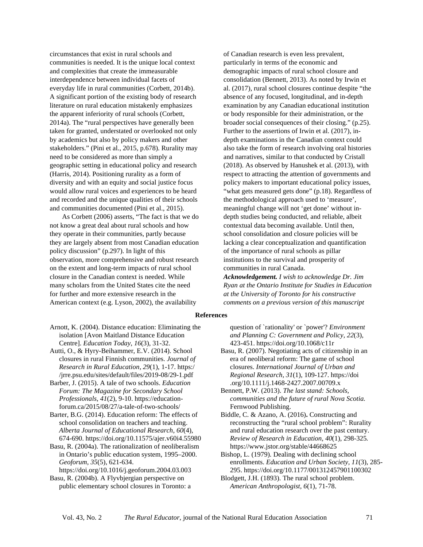circumstances that exist in rural schools and communities is needed. It is the unique local context and complexities that create the immeasurable interdependence between individual facets of everyday life in rural communities (Corbett, 2014b). A significant portion of the existing body of research literature on rural education mistakenly emphasizes the apparent inferiority of rural schools (Corbett, 2014a). The "rural perspectives have generally been taken for granted, understated or overlooked not only by academics but also by policy makers and other stakeholders." (Pini et al., 2015, p.678). Rurality may need to be considered as more than simply a geographic setting in educational policy and research (Harris, 2014). Positioning rurality as a form of diversity and with an equity and social justice focus would allow rural voices and experiences to be heard and recorded and the unique qualities of their schools and communities documented (Pini et al., 2015).

As Corbett (2006) asserts, "The fact is that we do not know a great deal about rural schools and how they operate in their communities, partly because they are largely absent from most Canadian education policy discussion" (p.297). In light of this observation, more comprehensive and robust research on the extent and long-term impacts of rural school closure in the Canadian context is needed. While many scholars from the United States cite the need for further and more extensive research in the American context (e.g. Lyson, 2002), the availability

of Canadian research is even less prevalent, particularly in terms of the economic and demographic impacts of rural school closure and consolidation (Bennett, 2013). As noted by Irwin et al. (2017), rural school closures continue despite "the absence of any focused, longitudinal, and in-depth examination by any Canadian educational institution or body responsible for their administration, or the broader social consequences of their closing." (p.25). Further to the assertions of Irwin et al. (2017), indepth examinations in the Canadian context could also take the form of research involving oral histories and narratives, similar to that conducted by Cristall (2018). As observed by Hanushek et al. (2013), with respect to attracting the attention of governments and policy makers to important educational policy issues, "what gets measured gets done" (p.18). Regardless of the methodological approach used to 'measure', meaningful change will not 'get done' without indepth studies being conducted, and reliable, albeit contextual data becoming available. Until then, school consolidation and closure policies will be lacking a clear conceptualization and quantification of the importance of rural schools as pillar institutions to the survival and prosperity of communities in rural Canada.

*Acknowledgement. I wish to acknowledge Dr. Jim Ryan at the Ontario Institute for Studies in Education at the University of Toronto for his constructive comments on a previous version of this manuscript*

#### **References**

Arnott, K. (2004). Distance education: Eliminating the isolation [Avon Maitland Distance Education Centre]. *Education Today*, *16*(3), 31-32.

- Autti, O., & Hyry-Beihammer, E.V. (2014). School closures in rural Finnish communities. *Journal of Research in Rural Education, 29*(1), 1-17. [https:/](https://jrre.psu.edu/sites/default/files/2019-08/29-1.pdf) [/jrre.psu.edu/sites/default/files/2019-08/29-1.pdf](https://jrre.psu.edu/sites/default/files/2019-08/29-1.pdf)
- Barber, J. (2015). A tale of two schools. *Education Forum: The Magazine for Secondary School Professionals*, *41*(2), 9-10. [https://education](https://education-forum.ca/2015/08/27/a-tale-of-two-)[forum.ca/2015/08/27/a-tale-of-two-schools/](https://education-forum.ca/2015/08/27/a-tale-of-two-)
- Barter, B.G. (2014). Education reform: The effects of school consolidation on teachers and teaching. *Alberta Journal of Educational Research*, *60*(4), 674-690.<https://doi.org/10.11575/ajer.v60i4.55980>
- Basu, R. (2004a). The rationalization of neoliberalism in Ontario's public education system, 1995–2000. *Geoforum, 35*(5), 621-634.

<https://doi.org/10.1016/j.geoforum.2004.03.003> Basu, R. (2004b). A Flyvbjergian perspective on

public elementary school closures in Toronto: a

question of `rationality' or `power'? *Environment and Planning C: Government and Policy, 22*(3), 423-451. [https://doi.org/10.1068/c11r](https://doi.org/10.1068%2Fc11r)

- Basu, R. (2007). Negotiating acts of citizenship in an era of neoliberal reform: The game of school closures. *International Journal of Urban and Regional Research, 31*(1), 109-127. [https://doi](https://doi.org/10.1111/j.1468-2427.2007.00709.x) [.org/10.1111/j.1468-2427.2007.00709.x](https://doi.org/10.1111/j.1468-2427.2007.00709.x)
- Bennett, P.W. (2013). *The last stand: Schools, communities and the future of rural Nova Scotia.* Fernwood Publishing.
- Biddle, C. & Azano, A. (2016)**.** Constructing and reconstructing the "rural school problem": Rurality and rural education research over the past century. *Review of Research in Education, 40*(1), 298-325*.* <https://www.jstor.org/stable/44668625>
- Bishop, L. (1979). Dealing with declining school enrollments. *Education and Urban Society, 11*(3), 285- 295.<https://doi.org/10.1177/001312457901100302>
- Blodgett, J.H. (1893). The rural school problem. *American Anthropologist, 6*(1), 71-78.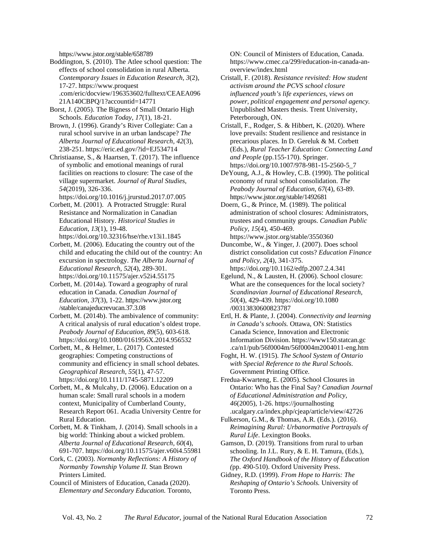<https://www.jstor.org/stable/658789>

Boddington, S. (2010). The Atlee school question: The effects of school consolidation in rural Alberta. *Contemporary Issues in Education Research, 3*(2), 17-27. [https://www.proquest](https://www.proquest.com/eric/docview/196353602/fulltext/CEAEA09621A140CBPQ/1) [.com/eric/docview/196353602/fulltext/CEAEA096](https://www.proquest.com/eric/docview/196353602/fulltext/CEAEA09621A140CBPQ/1) [21A140CBPQ/1?accountid=14771](https://www.proquest.com/eric/docview/196353602/fulltext/CEAEA09621A140CBPQ/1)

Borst, J. (2005). The Bigness of Small Ontario High Schools. *Education Today*, *17*(1), 18-21.

Brown, J. (1996). Grandy's River Collegiate: Can a rural school survive in an urban landscape? *The Alberta Journal of Educational Research, 42*(3), 238-251.<https://eric.ed.gov/?id=EJ534714>

Christiaanse, S., & Haartsen, T. (2017). The influence of symbolic and emotional meanings of rural facilities on reactions to closure: The case of the village supermarket. *Journal of Rural Studies, 54*(2019), 326-336.

<https://doi.org/10.1016/j.jrurstud.2017.07.005>

Corbett, M. (2001). A Protracted Struggle: Rural Resistance and Normalization in Canadian Educational History. *Historical Studies in Education*, *13*(1), 19-48. <https://doi.org/10.32316/hse/rhe.v13i1.1845>

Corbett, M. (2006). Educating the country out of the child and educating the child out of the country: An excursion in spectrology. *The Alberta Journal of Educational Research*, *52*(4), 289-301. <https://doi.org/10.11575/ajer.v52i4.55175>

Corbett, M. (2014a). Toward a geography of rural education in Canada. *Canadian Journal of Education*, *37*(3), 1-22. [https://www.jstor.org](https://www.jstor.org/stable/canajeducrevucan.37.3.08) [/stable/canajeducrevucan.37.3.08](https://www.jstor.org/stable/canajeducrevucan.37.3.08)

Corbett, M. (2014b). The ambivalence of community: A critical analysis of rural education's oldest trope. *Peabody Journal of Education, 89*(5), 603-618. <https://doi.org/10.1080/0161956X.2014.956532>

Corbett, M., & Helmer, L. (2017). Contested geographies: Competing constructions of community and efficiency in small school debates. *Geographical Research, 55*(1), 47-57. <https://doi.org/10.1111/1745-5871.12209>

Corbett, M., & Mulcahy, D. (2006). Education on a human scale: Small rural schools in a modern context, Municipality of Cumberland County, Research Report 061. Acadia University Centre for Rural Education.

Corbett, M. & Tinkham, J. (2014). Small schools in a big world: Thinking about a wicked problem. *Alberta Journal of Educational Research, 60*(4), 691-707.<https://doi.org/10.11575/ajer.v60i4.55981>

Cork, C. (2003). *Normanby Reflections: A History of Normanby Township Volume II.* Stan Brown Printers Limited.

Council of Ministers of Education, Canada (2020). *Elementary and Secondary Education.* Toronto, ON: Council of Ministers of Education, Canada. [https://www.cmec.ca/299/education-in-canada-an](https://www.cmec.ca/299/education-in-canada-an-overview/index.html)[overview/index.html](https://www.cmec.ca/299/education-in-canada-an-overview/index.html)

Cristall, F. (2018). *Resistance revisited: How student activism around the PCVS school closure influenced youth's life experiences, views on power, political engagement and personal agency.* Unpublished Masters thesis. Trent University, Peterborough, ON.

Cristall, F., Rodger, S. & Hibbert, K. (2020). Where love prevails: Student resilience and resistance in precarious places. In D. Gereluk & M. Corbett (Eds.), *Rural Teacher Education: Connecting Land and People* (pp.155-170). Springer. [https://doi.org/10.1007/978-981-15-2560-5\\_7](https://doi.org/10.1007/978-981-15-2560-5_7)

DeYoung, A.J., & Howley, C.B. (1990). The political economy of rural school consolidation. *The Peabody Journal of Education, 67*(4), 63-89. <https://www.jstor.org/stable/1492681>

Doern, G., & Prince, M. (1989). The political administration of school closures: Administrators, trustees and community groups. *Canadian Public Policy, 15*(4), 450-469. <https://www.jstor.org/stable/3550360>

Duncombe, W., & Yinger, J. (2007). Does school district consolidation cut costs? *Education Finance and Policy*, *2*(4), 341-375. [https://doi.org/10.1162/edfp.2007.2.4.341](http://dx.doi.org/10.1162/edfp.2007.2.4.341)

Egelund, N., & Lausten, H. (2006). School closure: What are the consequences for the local society? *Scandinavian Journal of Educational [Research,](https://doi.org/10.1080/00313830600823787)  50*(4), 429-439. [https://doi.org/10.1080](https://doi.org/10.1080/00313830600823787) [/00313830600823787](https://doi.org/10.1080/00313830600823787)

Ertl, H. & Plante, J. (2004). *Connectivity and learning in Canada's schools.* Ottawa, ON: Statistics Canada Science, Innovation and Electronic Information Division[. https://www150.statcan.gc](https://www150.statcan.gc.ca/n1/pub/56f0004m/56f0004m2004011-eng.htm) [.ca/n1/pub/56f0004m/56f0004m2004011-eng.htm](https://www150.statcan.gc.ca/n1/pub/56f0004m/56f0004m2004011-eng.htm)

Foght, H. W. (1915). *The School System of Ontario with Special Reference to the Rural Schools*. Government Printing Office.

Fredua-Kwarteng, E. (2005). School Closures in Ontario: Who has the Final Say? *Canadian Journal of Educational Administration and Policy, 46*(2005), 1-26. [https://journalhosting](https://journalhosting.ucalgary.ca/index.php/cjeap/article/view/42726) [.ucalgary.ca/index.php/cjeap/article/view/42726](https://journalhosting.ucalgary.ca/index.php/cjeap/article/view/42726)

Fulkerson, G.M., & Thomas, A.R. (Eds.). (2016). *Reimagining Rural: Urbanormative Portrayals of Rural Life*. Lexington Books.

Gamson, D. (2019). Transitions from rural to urban schooling. In J.L. Rury, & E. H. Tamura, (Eds.), *The Oxford Handbook of the History of Education (*pp. 490-510). Oxford University Press.

Gidney, R.D. (1999). *From Hope to Harris: The Reshaping of Ontario's Schools.* University of Toronto Press.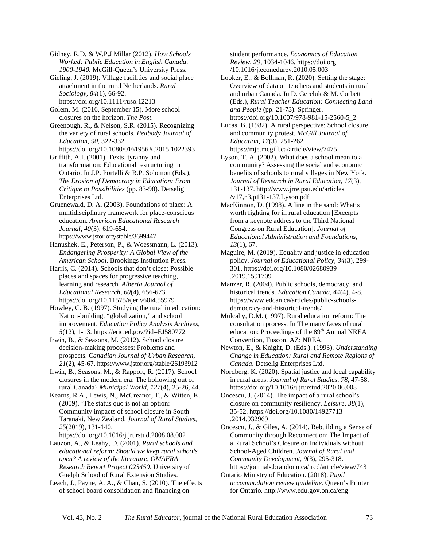Gidney, R.D. & W.P.J Millar (2012). *How Schools Worked: Public Education in English Canada, 1900-1940.* McGill-Queen's University Press.

Gieling, J. (2019). Village facilities and social place attachment in the rural Netherlands. *Rural Sociology, 84*(1), 66-92. <https://doi.org/10.1111/ruso.12213>

Golem, M. (2016, September 15). More school closures on the horizon. *The Post*.

Greenough, R., & Nelson, S.R. (2015). Recognizing the variety of rural schools. *Peabody Journal of Education*, *90*, 322-332.

<https://doi.org/10.1080/0161956X.2015.1022393> Griffith, A.I. (2001). Texts, tyranny and

transformation: Educational restructuring in Ontario. In J.P. Portelli & R.P. Solomon (Eds.), *The Erosion of Democracy in Education: From Critique to Possibilities* (pp. 83-98). Detselig Enterprises Ltd.

Gruenewald, D. A. (2003). Foundations of place: A multidisciplinary framework for place-conscious education. *American Educational Research Journal*, *40*(3), 619-654. <https://www.jstor.org/stable/3699447>

Hanushek, E., Peterson, P., & Woessmann, L. (2013). *Endangering Prosperity: A Global View of the American School*. Brookings Institution Press.

Harris, C. (2014). Schools that don't close: Possible places and spaces for progressive teaching, learning and research. *Alberta Journal of Educational Research, 60*(4), 656-673. <https://doi.org/10.11575/ajer.v60i4.55979>

Howley, C. B. (1997). Studying the rural in education: Nation-building, "globalization," and school improvement. *Education Policy Analysis Archives*, *5*(12), 1-13. <https://eric.ed.gov/?id=EJ580772>

Irwin, B., & Seasons, M. (2012). School closure decision-making processes: Problems and prospects. *Canadian Journal of Urban Research, 21*(2), 45-67. <https://www.jstor.org/stable/26193912>

Irwin, B., Seasons, M., & Rappolt, R. (2017). School closures in the modern era: The hollowing out of rural Canada? *Municipal World, 127*(4), 25-26, 44.

Kearns, R.A., Lewis, N., McCreanor, T., & Witten, K. (2009). 'The status quo is not an option: Community impacts of school closure in South Taranaki, New Zealand. *Journal of Rural Studies, 25*(2019), 131-140.

<https://doi.org/10.1016/j.jrurstud.2008.08.002>

Lauzon, A., & Leahy, D. (2001). *Rural schools and educational reform: Should we keep rural schools open? A review of the literature*, *OMAFRA Research Report Project 023450*. University of Guelph School of Rural Extension Studies.

Leach, J., Payne, A. A., & Chan, S. (2010). The effects of school board consolidation and financing on

student performance. *Economics of Education Review*, *29*, 1034-1046. [https://doi.org](https://doi.org/10.1016/j.econedurev.2010.05.003) [/10.1016/j.econedurev.2010.05.003](https://doi.org/10.1016/j.econedurev.2010.05.003)

Looker, E., & Bollman, R. (2020). Setting the stage: Overview of data on teachers and students in rural and urban Canada. In D. Gereluk & M. Corbett (Eds.), *Rural Teacher Education: Connecting Land and People* (pp. 21-73). Springer. [https://doi.org/10.1007/978-981-15-2560-5\\_2](https://doi.org/10.1007/978-981-15-2560-5_2)

Lucas, B. (1982). A rural perspective: School closure and community protest. *McGill Journal of Education, 17*(3), 251-262. <https://mje.mcgill.ca/article/view/7475>

Lyson, T. A. (2002). What does a school mean to a community? Assessing the social and economic benefits of schools to rural villages in New York. *Journal of Research in Rural Education*, *17*(3), 131-137[. http://www.jrre.psu.edu/articles](http://www.jrre.psu.edu/articles/v17,n3,p131-137,Lyson.pdf) [/v17,n3,p131-137,Lyson.pdf](http://www.jrre.psu.edu/articles/v17,n3,p131-137,Lyson.pdf)

MacKinnon, D. (1998). A line in the sand: What's worth fighting for in rural education [Excerpts from a keynote address to the Third National Congress on Rural Education]. *Journal of Educational Administration and Foundations*, *13*(1), 67.

Maguire, M. (2019). Equality and justice in education policy. *Journal of Educational Policy*, *34*(3), 299- 301. [https://doi.org/10.1080/02680939](https://doi.org/10.1080/02680939.2019.1591709) [.2019.1591709](https://doi.org/10.1080/02680939.2019.1591709)

Manzer, R. (2004). Public schools, democracy, and historical trends. *Education Canada*, *44*(4), 4-8. [https://www.edcan.ca/articles/public-schools](https://www.edcan.ca/articles/public-schools-democracy-and-historical-trends/)[democracy-and-historical-trends/](https://www.edcan.ca/articles/public-schools-democracy-and-historical-trends/)

Mulcahy, D.M. (1997). Rural education reform: The consultation process. In The many faces of rural education: Proceedings of the 89<sup>th</sup> Annual NREA Convention, Tuscon, AZ: NREA.

Newton, E., & Knight, D. (Eds.). (1993). *Understanding Change in Education: Rural and Remote Regions of Canada*. Detselig Enterprises Ltd.

Nordberg, K. (2020). Spatial justice and local capability in rural areas. *Journal of Rural Studies, 78*, 47-58. <https://doi.org/10.1016/j.jrurstud.2020.06.008>

Oncescu, J. (2014). The impact of a rural school's closure on community resiliency. *Leisure*, *38*(1), 35-52. [https://doi.org/10.1080/14927713](https://doi.org/10.1080/14927713.2014.932969) [.2014.932969](https://doi.org/10.1080/14927713.2014.932969)

Oncescu, J., & Giles, A. (2014). Rebuilding a Sense of Community through Reconnection: The Impact of a Rural School's Closure on Individuals without School-Aged Children. *Journal of Rural and Community Development, 9*(3), 295-318. <https://journals.brandonu.ca/jrcd/article/view/743>

Ontario Ministry of Education. (2018). *Pupil accommodation review guideline.* Queen'[s Printer](http://www.edu.gov.on.ca/eng/policyfunding/pupil-)  for Ontario[. http://www.edu.gov.on.ca/eng](http://www.edu.gov.on.ca/eng/policyfunding/pupil-)